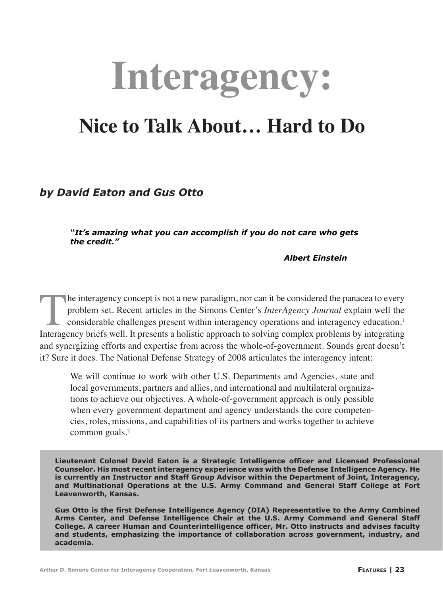# **Interagency:**

# **Nice to Talk About… Hard to Do**

## *by David Eaton and Gus Otto*

*"It's amazing what you can accomplish if you do not care who gets the credit."*

 *Albert Einstein*

The interagency concept is not a new paradigm, nor can it be considered the panacea to every problem set. Recent articles in the Simons Center's *InterAgency Journal* explain well the considerable challenges present within interagency operations and interagency education.1 Interagency briefs well. It presents a holistic approach to solving complex problems by integrating and synergizing efforts and expertise from across the whole-of-government. Sounds great doesn't it? Sure it does. The National Defense Strategy of 2008 articulates the interagency intent:

We will continue to work with other U.S. Departments and Agencies, state and local governments, partners and allies, and international and multilateral organizations to achieve our objectives. A whole-of-government approach is only possible when every government department and agency understands the core competencies, roles, missions, and capabilities of its partners and works together to achieve common goals.<sup>2</sup>

**Lieutenant Colonel David Eaton is a Strategic Intelligence officer and Licensed Professional Counselor. His most recent interagency experience was with the Defense Intelligence Agency. He is currently an Instructor and Staff Group Advisor within the Department of Joint, Interagency, and Multinational Operations at the U.S. Army Command and General Staff College at Fort Leavenworth, Kansas.**

**Gus Otto is the first Defense Intelligence Agency (DIA) Representative to the Army Combined Arms Center, and Defense Intelligence Chair at the U.S. Army Command and General Staff College. A career Human and Counterintelligence officer, Mr. Otto instructs and advises faculty and students, emphasizing the importance of collaboration across government, industry, and academia.**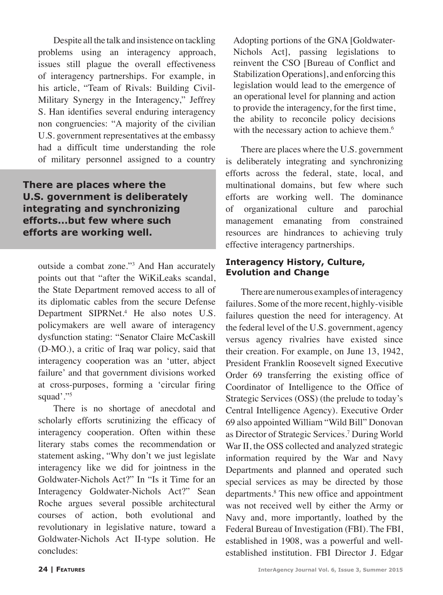Despite all the talk and insistence on tackling problems using an interagency approach, issues still plague the overall effectiveness of interagency partnerships. For example, in his article, "Team of Rivals: Building Civil-Military Synergy in the Interagency," Jeffrey S. Han identifies several enduring interagency non congruencies: "A majority of the civilian U.S. government representatives at the embassy had a difficult time understanding the role of military personnel assigned to a country

**There are places where the U.S. government is deliberately integrating and synchronizing efforts...but few where such efforts are working well.**

outside a combat zone."3 And Han accurately points out that "after the WiKiLeaks scandal, the State Department removed access to all of its diplomatic cables from the secure Defense Department SIPRNet.4 He also notes U.S. policymakers are well aware of interagency dysfunction stating: "Senator Claire McCaskill (D-MO.), a critic of Iraq war policy, said that interagency cooperation was an 'utter, abject failure' and that government divisions worked at cross-purposes, forming a 'circular firing squad'."5

There is no shortage of anecdotal and scholarly efforts scrutinizing the efficacy of interagency cooperation. Often within these literary stabs comes the recommendation or statement asking, "Why don't we just legislate interagency like we did for jointness in the Goldwater-Nichols Act?" In "Is it Time for an Interagency Goldwater-Nichols Act?" Sean Roche argues several possible architectural courses of action, both evolutional and revolutionary in legislative nature, toward a Goldwater-Nichols Act II-type solution. He concludes:

Adopting portions of the GNA [Goldwater-Nichols Act], passing legislations to reinvent the CSO [Bureau of Conflict and Stabilization Operations], and enforcing this legislation would lead to the emergence of an operational level for planning and action to provide the interagency, for the first time, the ability to reconcile policy decisions with the necessary action to achieve them.<sup>6</sup>

There are places where the U.S. government is deliberately integrating and synchronizing efforts across the federal, state, local, and multinational domains, but few where such efforts are working well. The dominance of organizational culture and parochial management emanating from constrained resources are hindrances to achieving truly effective interagency partnerships.

#### **Interagency History, Culture, Evolution and Change**

There are numerous examples of interagency failures. Some of the more recent, highly-visible failures question the need for interagency. At the federal level of the U.S. government, agency versus agency rivalries have existed since their creation. For example, on June 13, 1942, President Franklin Roosevelt signed Executive Order 69 transferring the existing office of Coordinator of Intelligence to the Office of Strategic Services (OSS) (the prelude to today's Central Intelligence Agency). Executive Order 69 also appointed William "Wild Bill" Donovan as Director of Strategic Services.7 During World War II, the OSS collected and analyzed strategic information required by the War and Navy Departments and planned and operated such special services as may be directed by those departments.8 This new office and appointment was not received well by either the Army or Navy and, more importantly, loathed by the Federal Bureau of Investigation (FBI). The FBI, established in 1908, was a powerful and wellestablished institution. FBI Director J. Edgar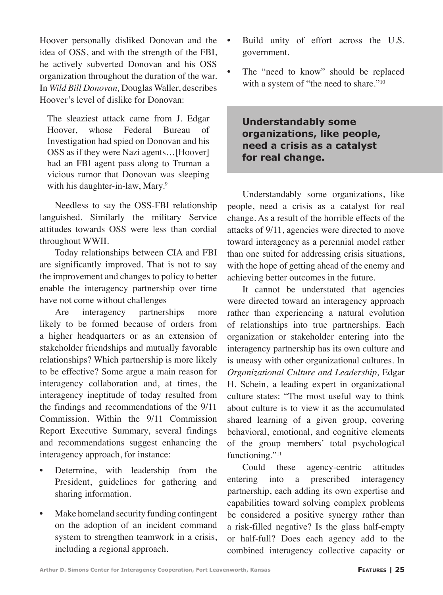Hoover personally disliked Donovan and the idea of OSS, and with the strength of the FBI, he actively subverted Donovan and his OSS organization throughout the duration of the war. In *Wild Bill Donovan,* Douglas Waller, describes Hoover's level of dislike for Donovan:

The sleaziest attack came from J. Edgar Hoover, whose Federal Bureau of Investigation had spied on Donovan and his OSS as if they were Nazi agents…[Hoover] had an FBI agent pass along to Truman a vicious rumor that Donovan was sleeping with his daughter-in-law, Mary.<sup>9</sup>

Needless to say the OSS-FBI relationship languished. Similarly the military Service attitudes towards OSS were less than cordial throughout WWII.

Today relationships between CIA and FBI are significantly improved. That is not to say the improvement and changes to policy to better enable the interagency partnership over time have not come without challenges

Are interagency partnerships more likely to be formed because of orders from a higher headquarters or as an extension of stakeholder friendships and mutually favorable relationships? Which partnership is more likely to be effective? Some argue a main reason for interagency collaboration and, at times, the interagency ineptitude of today resulted from the findings and recommendations of the 9/11 Commission. Within the 9/11 Commission Report Executive Summary, several findings and recommendations suggest enhancing the interagency approach, for instance:

- Determine, with leadership from the President, guidelines for gathering and sharing information.
- Make homeland security funding contingent on the adoption of an incident command system to strengthen teamwork in a crisis, including a regional approach.
- Build unity of effort across the U.S. government.
- The "need to know" should be replaced with a system of "the need to share."<sup>10</sup>

**Understandably some organizations, like people, need a crisis as a catalyst for real change.**

Understandably some organizations, like people, need a crisis as a catalyst for real change. As a result of the horrible effects of the attacks of 9/11, agencies were directed to move toward interagency as a perennial model rather than one suited for addressing crisis situations, with the hope of getting ahead of the enemy and achieving better outcomes in the future.

It cannot be understated that agencies were directed toward an interagency approach rather than experiencing a natural evolution of relationships into true partnerships. Each organization or stakeholder entering into the interagency partnership has its own culture and is uneasy with other organizational cultures. In *Organizational Culture and Leadership,* Edgar H. Schein, a leading expert in organizational culture states: "The most useful way to think about culture is to view it as the accumulated shared learning of a given group, covering behavioral, emotional, and cognitive elements of the group members' total psychological functioning."<sup>11</sup>

Could these agency-centric attitudes entering into a prescribed interagency partnership, each adding its own expertise and capabilities toward solving complex problems be considered a positive synergy rather than a risk-filled negative? Is the glass half-empty or half-full? Does each agency add to the combined interagency collective capacity or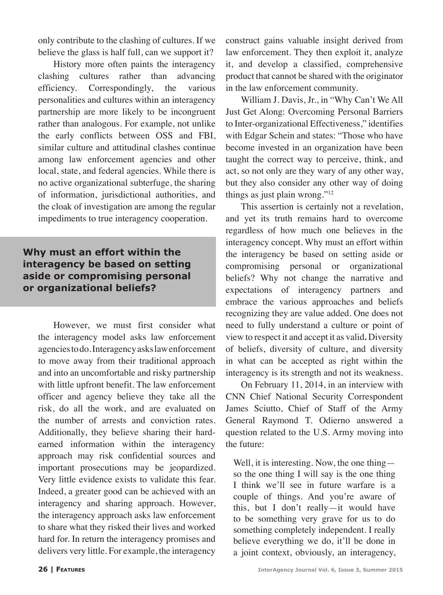only contribute to the clashing of cultures. If we believe the glass is half full, can we support it?

History more often paints the interagency clashing cultures rather than advancing efficiency. Correspondingly, the various personalities and cultures within an interagency partnership are more likely to be incongruent rather than analogous. For example, not unlike the early conflicts between OSS and FBI, similar culture and attitudinal clashes continue among law enforcement agencies and other local, state, and federal agencies. While there is no active organizational subterfuge, the sharing of information, jurisdictional authorities, and the cloak of investigation are among the regular impediments to true interagency cooperation.

### **Why must an effort within the interagency be based on setting aside or compromising personal or organizational beliefs?**

However, we must first consider what the interagency model asks law enforcement agencies to do. Interagency asks law enforcement to move away from their traditional approach and into an uncomfortable and risky partnership with little upfront benefit. The law enforcement officer and agency believe they take all the risk, do all the work, and are evaluated on the number of arrests and conviction rates. Additionally, they believe sharing their hardearned information within the interagency approach may risk confidential sources and important prosecutions may be jeopardized. Very little evidence exists to validate this fear. Indeed, a greater good can be achieved with an interagency and sharing approach. However, the interagency approach asks law enforcement to share what they risked their lives and worked hard for. In return the interagency promises and delivers very little. For example, the interagency

construct gains valuable insight derived from law enforcement. They then exploit it, analyze it, and develop a classified, comprehensive product that cannot be shared with the originator in the law enforcement community.

William J. Davis, Jr., in "Why Can't We All Just Get Along: Overcoming Personal Barriers to Inter-organizational Effectiveness," identifies with Edgar Schein and states: "Those who have become invested in an organization have been taught the correct way to perceive, think, and act, so not only are they wary of any other way, but they also consider any other way of doing things as just plain wrong." $12$ 

This assertion is certainly not a revelation, and yet its truth remains hard to overcome regardless of how much one believes in the interagency concept. Why must an effort within the interagency be based on setting aside or compromising personal or organizational beliefs? Why not change the narrative and expectations of interagency partners and embrace the various approaches and beliefs recognizing they are value added. One does not need to fully understand a culture or point of view to respect it and accept it as valid*.* Diversity of beliefs, diversity of culture, and diversity in what can be accepted as right within the interagency is its strength and not its weakness.

On February 11, 2014, in an interview with CNN Chief National Security Correspondent James Sciutto, Chief of Staff of the Army General Raymond T. Odierno answered a question related to the U.S. Army moving into the future:

Well, it is interesting. Now, the one thing so the one thing I will say is the one thing I think we'll see in future warfare is a couple of things. And you're aware of this, but I don't really—it would have to be something very grave for us to do something completely independent. I really believe everything we do, it'll be done in a joint context, obviously, an interagency,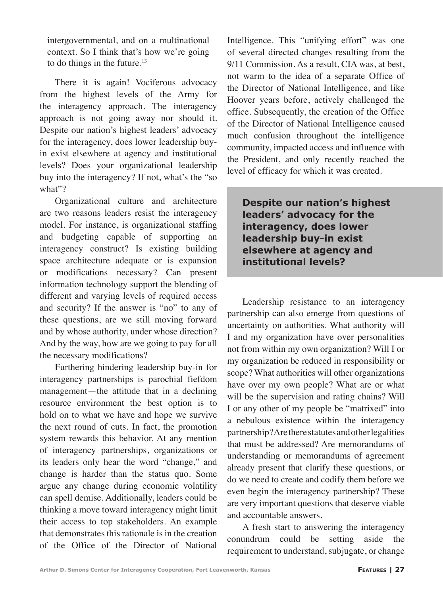intergovernmental, and on a multinational context. So I think that's how we're going to do things in the future. $13$ 

There it is again! Vociferous advocacy from the highest levels of the Army for the interagency approach. The interagency approach is not going away nor should it. Despite our nation's highest leaders' advocacy for the interagency, does lower leadership buyin exist elsewhere at agency and institutional levels? Does your organizational leadership buy into the interagency? If not, what's the "so what"?

Organizational culture and architecture are two reasons leaders resist the interagency model. For instance, is organizational staffing and budgeting capable of supporting an interagency construct? Is existing building space architecture adequate or is expansion or modifications necessary? Can present information technology support the blending of different and varying levels of required access and security? If the answer is "no" to any of these questions, are we still moving forward and by whose authority, under whose direction? And by the way, how are we going to pay for all the necessary modifications?

Furthering hindering leadership buy-in for interagency partnerships is parochial fiefdom management—the attitude that in a declining resource environment the best option is to hold on to what we have and hope we survive the next round of cuts. In fact, the promotion system rewards this behavior. At any mention of interagency partnerships, organizations or its leaders only hear the word "change," and change is harder than the status quo. Some argue any change during economic volatility can spell demise. Additionally, leaders could be thinking a move toward interagency might limit their access to top stakeholders. An example that demonstrates this rationale is in the creation of the Office of the Director of National

Intelligence. This "unifying effort" was one of several directed changes resulting from the 9/11 Commission. As a result, CIA was, at best, not warm to the idea of a separate Office of the Director of National Intelligence, and like Hoover years before, actively challenged the office. Subsequently, the creation of the Office of the Director of National Intelligence caused much confusion throughout the intelligence community, impacted access and influence with the President, and only recently reached the level of efficacy for which it was created.

**Despite our nation's highest leaders' advocacy for the interagency, does lower leadership buy-in exist elsewhere at agency and institutional levels?**

Leadership resistance to an interagency partnership can also emerge from questions of uncertainty on authorities. What authority will I and my organization have over personalities not from within my own organization? Will I or my organization be reduced in responsibility or scope? What authorities will other organizations have over my own people? What are or what will be the supervision and rating chains? Will I or any other of my people be "matrixed" into a nebulous existence within the interagency partnership? Are there statutes and other legalities that must be addressed? Are memorandums of understanding or memorandums of agreement already present that clarify these questions, or do we need to create and codify them before we even begin the interagency partnership? These are very important questions that deserve viable and accountable answers.

A fresh start to answering the interagency conundrum could be setting aside the requirement to understand, subjugate, or change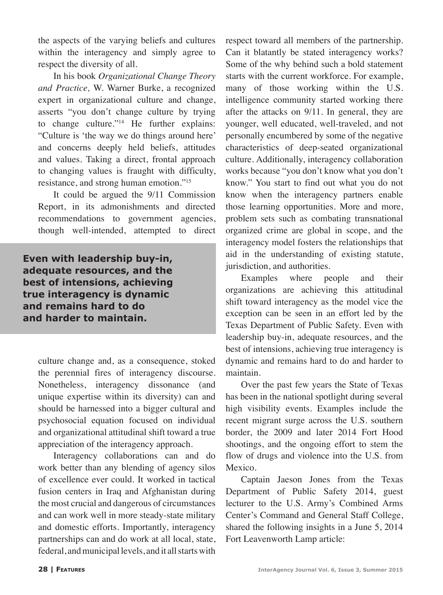the aspects of the varying beliefs and cultures within the interagency and simply agree to respect the diversity of all.

In his book *Organizational Change Theory and Practice,* W. Warner Burke, a recognized expert in organizational culture and change, asserts "you don't change culture by trying to change culture."14 He further explains: "Culture is 'the way we do things around here' and concerns deeply held beliefs, attitudes and values. Taking a direct, frontal approach to changing values is fraught with difficulty, resistance, and strong human emotion."15

It could be argued the 9/11 Commission Report, in its admonishments and directed recommendations to government agencies, though well-intended, attempted to direct

**Even with leadership buy-in, adequate resources, and the best of intensions, achieving true interagency is dynamic and remains hard to do and harder to maintain.**

> culture change and, as a consequence, stoked the perennial fires of interagency discourse. Nonetheless, interagency dissonance (and unique expertise within its diversity) can and should be harnessed into a bigger cultural and psychosocial equation focused on individual and organizational attitudinal shift toward a true appreciation of the interagency approach.

> Interagency collaborations can and do work better than any blending of agency silos of excellence ever could. It worked in tactical fusion centers in Iraq and Afghanistan during the most crucial and dangerous of circumstances and can work well in more steady-state military and domestic efforts. Importantly, interagency partnerships can and do work at all local, state, federal, and municipal levels, and it all starts with

respect toward all members of the partnership. Can it blatantly be stated interagency works? Some of the why behind such a bold statement starts with the current workforce. For example, many of those working within the U.S. intelligence community started working there after the attacks on 9/11. In general, they are younger, well educated, well-traveled, and not personally encumbered by some of the negative characteristics of deep-seated organizational culture. Additionally, interagency collaboration works because "you don't know what you don't know." You start to find out what you do not know when the interagency partners enable those learning opportunities. More and more, problem sets such as combating transnational organized crime are global in scope, and the interagency model fosters the relationships that aid in the understanding of existing statute, jurisdiction, and authorities.

Examples where people and their organizations are achieving this attitudinal shift toward interagency as the model vice the exception can be seen in an effort led by the Texas Department of Public Safety. Even with leadership buy-in, adequate resources, and the best of intensions, achieving true interagency is dynamic and remains hard to do and harder to maintain.

Over the past few years the State of Texas has been in the national spotlight during several high visibility events. Examples include the recent migrant surge across the U.S. southern border, the 2009 and later 2014 Fort Hood shootings, and the ongoing effort to stem the flow of drugs and violence into the U.S. from Mexico.

Captain Jaeson Jones from the Texas Department of Public Safety 2014, guest lecturer to the U.S. Army's Combined Arms Center's Command and General Staff College, shared the following insights in a June 5, 2014 Fort Leavenworth Lamp article: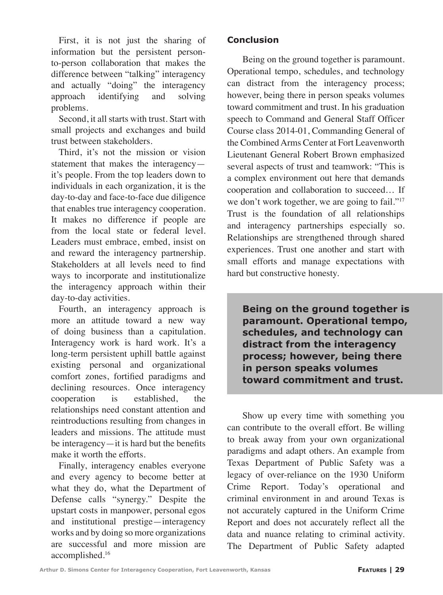First, it is not just the sharing of information but the persistent personto-person collaboration that makes the difference between "talking" interagency and actually "doing" the interagency approach identifying and solving problems.

Second, it all starts with trust. Start with small projects and exchanges and build trust between stakeholders.

Third, it's not the mission or vision statement that makes the interagency it's people. From the top leaders down to individuals in each organization, it is the day-to-day and face-to-face due diligence that enables true interagency cooperation. It makes no difference if people are from the local state or federal level. Leaders must embrace, embed, insist on and reward the interagency partnership. Stakeholders at all levels need to find ways to incorporate and institutionalize the interagency approach within their day-to-day activities.

Fourth, an interagency approach is more an attitude toward a new way of doing business than a capitulation. Interagency work is hard work. It's a long-term persistent uphill battle against existing personal and organizational comfort zones, fortified paradigms and declining resources. Once interagency cooperation is established, the relationships need constant attention and reintroductions resulting from changes in leaders and missions. The attitude must be interagency—it is hard but the benefits make it worth the efforts.

Finally, interagency enables everyone and every agency to become better at what they do, what the Department of Defense calls "synergy." Despite the upstart costs in manpower, personal egos and institutional prestige—interagency works and by doing so more organizations are successful and more mission are accomplished.16

#### **Conclusion**

Being on the ground together is paramount. Operational tempo, schedules, and technology can distract from the interagency process; however, being there in person speaks volumes toward commitment and trust. In his graduation speech to Command and General Staff Officer Course class 2014-01, Commanding General of the Combined Arms Center at Fort Leavenworth Lieutenant General Robert Brown emphasized several aspects of trust and teamwork: "This is a complex environment out here that demands cooperation and collaboration to succeed… If we don't work together, we are going to fail."<sup>17</sup> Trust is the foundation of all relationships and interagency partnerships especially so. Relationships are strengthened through shared experiences. Trust one another and start with small efforts and manage expectations with hard but constructive honesty.

**Being on the ground together is paramount. Operational tempo, schedules, and technology can distract from the interagency process; however, being there in person speaks volumes toward commitment and trust.**

Show up every time with something you can contribute to the overall effort. Be willing to break away from your own organizational paradigms and adapt others. An example from Texas Department of Public Safety was a legacy of over-reliance on the 1930 Uniform Crime Report. Today's operational and criminal environment in and around Texas is not accurately captured in the Uniform Crime Report and does not accurately reflect all the data and nuance relating to criminal activity. The Department of Public Safety adapted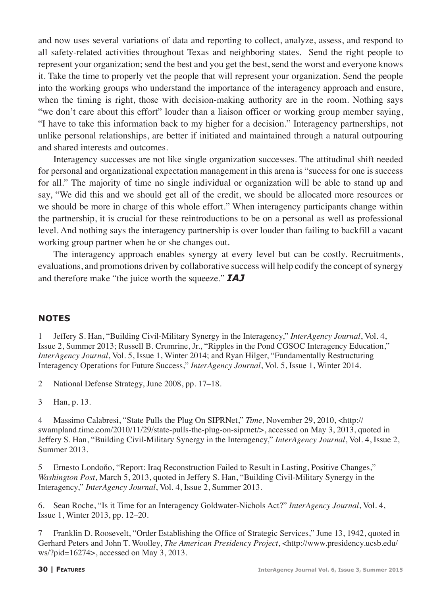and now uses several variations of data and reporting to collect, analyze, assess, and respond to all safety-related activities throughout Texas and neighboring states. Send the right people to represent your organization; send the best and you get the best, send the worst and everyone knows it. Take the time to properly vet the people that will represent your organization. Send the people into the working groups who understand the importance of the interagency approach and ensure, when the timing is right, those with decision-making authority are in the room. Nothing says "we don't care about this effort" louder than a liaison officer or working group member saying, "I have to take this information back to my higher for a decision." Interagency partnerships, not unlike personal relationships, are better if initiated and maintained through a natural outpouring and shared interests and outcomes.

Interagency successes are not like single organization successes. The attitudinal shift needed for personal and organizational expectation management in this arena is "success for one is success for all." The majority of time no single individual or organization will be able to stand up and say, "We did this and we should get all of the credit, we should be allocated more resources or we should be more in charge of this whole effort." When interagency participants change within the partnership, it is crucial for these reintroductions to be on a personal as well as professional level. And nothing says the interagency partnership is over louder than failing to backfill a vacant working group partner when he or she changes out.

The interagency approach enables synergy at every level but can be costly. Recruitments, evaluations, and promotions driven by collaborative success will help codify the concept of synergy and therefore make "the juice worth the squeeze." *IAJ*

#### **NOTES**

1 Jeffery S. Han, "Building Civil-Military Synergy in the Interagency," *InterAgency Journal*, Vol. 4, Issue 2, Summer 2013; Russell B. Crumrine, Jr., "Ripples in the Pond CGSOC Interagency Education," *InterAgency Journal*, Vol. 5, Issue 1, Winter 2014; and Ryan Hilger, "Fundamentally Restructuring Interagency Operations for Future Success," *InterAgency Journal*, Vol. 5, Issue 1, Winter 2014.

2 National Defense Strategy, June 2008, pp. 17–18.

3 Han, p. 13.

4 Massimo Calabresi, "State Pulls the Plug On SIPRNet," *Time,* November 29, 2010, <http:// swampland.time.com/2010/11/29/state-pulls-the-plug-on-siprnet/>, accessed on May 3, 2013, quoted in Jeffery S. Han, "Building Civil-Military Synergy in the Interagency," *InterAgency Journal*, Vol. 4, Issue 2, Summer 2013.

5 Ernesto Londoňo, "Report: Iraq Reconstruction Failed to Result in Lasting, Positive Changes," *Washington Post*, March 5, 2013, quoted in Jeffery S. Han, "Building Civil-Military Synergy in the Interagency," *InterAgency Journal*, Vol. 4, Issue 2, Summer 2013.

6. Sean Roche, "Is it Time for an Interagency Goldwater-Nichols Act?" *InterAgency Journal*, Vol. 4, Issue 1, Winter 2013, pp. 12–20.

7 Franklin D. Roosevelt, "Order Establishing the Office of Strategic Services," June 13, 1942, quoted in Gerhard Peters and John T. Woolley, *The American Presidency Project*, <http://www.presidency.ucsb.edu/ ws/?pid=16274>, accessed on May 3, 2013.